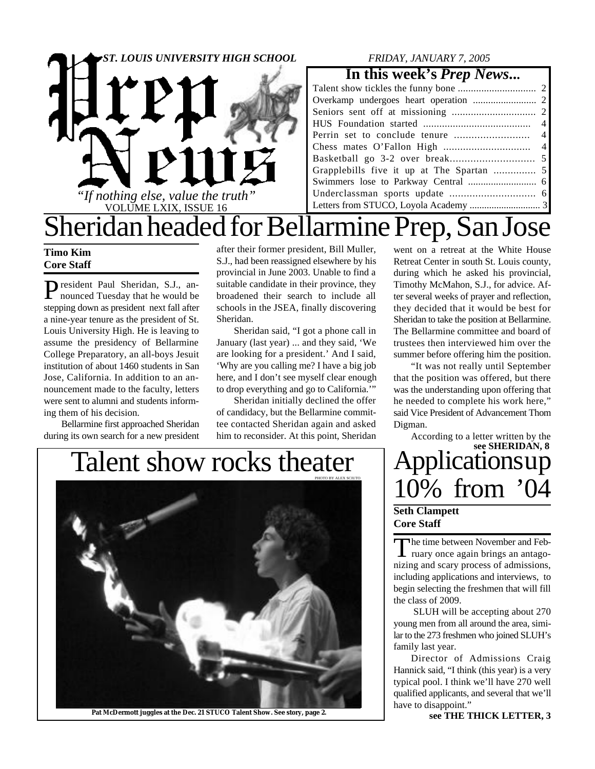

### *FRIDAY, JANUARY 7, 2005*

### **In this week's** *Prep News***...**

# Sheridan headed for Bellarmine Prep, San Jose

### **Timo Kim Core Staff**

President Paul Sheridan, S.J., an-<br>nounced Tuesday that he would be nounced Tuesday that he would be stepping down as president next fall after a nine-year tenure as the president of St. Louis University High. He is leaving to assume the presidency of Bellarmine College Preparatory, an all-boys Jesuit institution of about 1460 students in San Jose, California. In addition to an announcement made to the faculty, letters were sent to alumni and students informing them of his decision.

Bellarmine first approached Sheridan during its own search for a new president after their former president, Bill Muller, S.J., had been reassigned elsewhere by his provincial in June 2003. Unable to find a suitable candidate in their province, they broadened their search to include all schools in the JSEA, finally discovering Sheridan.

Sheridan said, "I got a phone call in January (last year) ... and they said, 'We are looking for a president.' And I said, 'Why are you calling me? I have a big job here, and I don't see myself clear enough to drop everything and go to California.'"

Sheridan initially declined the offer of candidacy, but the Bellarmine committee contacted Sheridan again and asked him to reconsider. At this point, Sheridan

went on a retreat at the White House Retreat Center in south St. Louis county, during which he asked his provincial, Timothy McMahon, S.J., for advice. After several weeks of prayer and reflection, they decided that it would be best for Sheridan to take the position at Bellarmine. The Bellarmine committee and board of trustees then interviewed him over the summer before offering him the position.

"It was not really until September that the position was offered, but there was the understanding upon offering that he needed to complete his work here," said Vice President of Advancement Thom Digman.

10% from '04 According to a letter written by the **see SHERIDAN, 8**

### **Seth Clampett Core Staff**

The time between November and Feb-<br>
ruary once again brings an antagohe time between November and Febnizing and scary process of admissions, including applications and interviews, to begin selecting the freshmen that will fill the class of 2009.

 SLUH will be accepting about 270 young men from all around the area, similar to the 273 freshmen who joined SLUH's family last year.

Director of Admissions Craig Hannick said, "I think (this year) is a very typical pool. I think we'll have 270 well qualified applicants, and several that we'll have to disappoint."<br>see THE THICK LETTER, 3

## Talent show rocks theater | Applications up



Pat McDermott juggles at the Dec. 21 STUCO Talent Show. See story, page 2.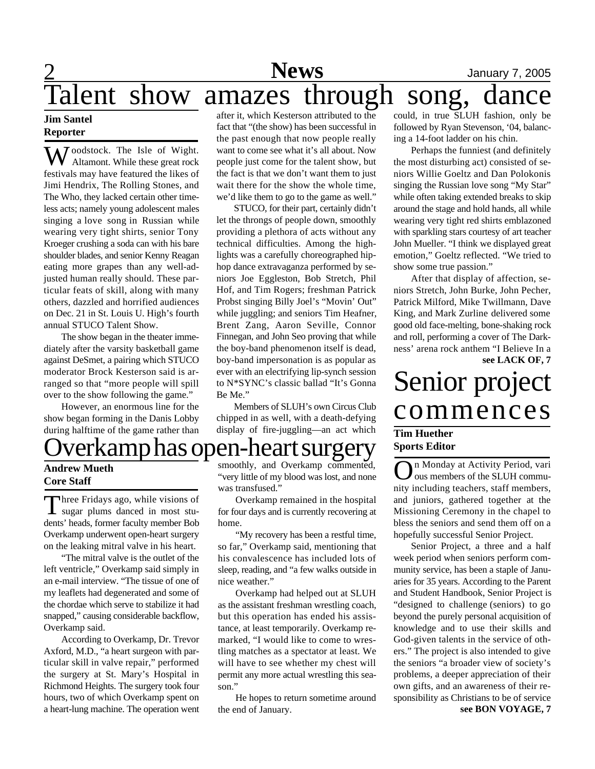## 2 **News** January 7, 2005 Talent show amazes through song,

### **Jim Santel Reporter**

*T* oodstock. The Isle of Wight. Altamont. While these great rock festivals may have featured the likes of Jimi Hendrix, The Rolling Stones, and The Who, they lacked certain other timeless acts; namely young adolescent males singing a love song in Russian while wearing very tight shirts, senior Tony Kroeger crushing a soda can with his bare shoulder blades, and senior Kenny Reagan eating more grapes than any well-adjusted human really should. These particular feats of skill, along with many others, dazzled and horrified audiences on Dec. 21 in St. Louis U. High's fourth annual STUCO Talent Show.

The show began in the theater immediately after the varsity basketball game against DeSmet, a pairing which STUCO moderator Brock Kesterson said is arranged so that "more people will spill over to the show following the game."

However, an enormous line for the show began forming in the Danis Lobby during halftime of the game rather than after it, which Kesterson attributed to the fact that "(the show) has been successful in the past enough that now people really want to come see what it's all about. Now people just come for the talent show, but the fact is that we don't want them to just wait there for the show the whole time, we'd like them to go to the game as well."

STUCO, for their part, certainly didn't let the throngs of people down, smoothly providing a plethora of acts without any technical difficulties. Among the highlights was a carefully choreographed hiphop dance extravaganza performed by seniors Joe Eggleston, Bob Stretch, Phil Hof, and Tim Rogers; freshman Patrick Probst singing Billy Joel's "Movin' Out" while juggling; and seniors Tim Heafner, Brent Zang, Aaron Seville, Connor Finnegan, and John Seo proving that while the boy-band phenomenon itself is dead, boy-band impersonation is as popular as ever with an electrifying lip-synch session to N\*SYNC's classic ballad "It's Gonna Be Me."

Members of SLUH's own Circus Club chipped in as well, with a death-defying display of fire-juggling—an act which

could, in true SLUH fashion, only be followed by Ryan Stevenson, '04, balancing a 14-foot ladder on his chin.

Perhaps the funniest (and definitely the most disturbing act) consisted of seniors Willie Goeltz and Dan Polokonis singing the Russian love song "My Star" while often taking extended breaks to skip around the stage and hold hands, all while wearing very tight red shirts emblazoned with sparkling stars courtesy of art teacher John Mueller. "I think we displayed great emotion," Goeltz reflected. "We tried to show some true passion."

After that display of affection, seniors Stretch, John Burke, John Pecher, Patrick Milford, Mike Twillmann, Dave King, and Mark Zurline delivered some good old face-melting, bone-shaking rock and roll, performing a cover of The Darkness' arena rock anthem "I Believe In a **see LACK OF, 7**

# Senior project commences

### **Tim Huether Sports Editor**

 $\overline{O}$ n Monday at Activity Period, vari ous members of the SLUH community including teachers, staff members, and juniors, gathered together at the Missioning Ceremony in the chapel to bless the seniors and send them off on a hopefully successful Senior Project.

Senior Project, a three and a half week period when seniors perform community service, has been a staple of Januaries for 35 years. According to the Parent and Student Handbook, Senior Project is "designed to challenge (seniors) to go beyond the purely personal acquisition of knowledge and to use their skills and God-given talents in the service of others." The project is also intended to give the seniors "a broader view of society's problems, a deeper appreciation of their own gifts, and an awareness of their responsibility as Christians to be of service **see BON VOYAGE, 7**

## verkamp has open-heart surgery

### **Andrew Mueth Core Staff**

Three Fridays ago, while visions of<br>sugar plums danced in most stuhree Fridays ago, while visions of dents' heads, former faculty member Bob Overkamp underwent open-heart surgery on the leaking mitral valve in his heart.

"The mitral valve is the outlet of the left ventricle," Overkamp said simply in an e-mail interview. "The tissue of one of my leaflets had degenerated and some of the chordae which serve to stabilize it had snapped," causing considerable backflow, Overkamp said.

According to Overkamp, Dr. Trevor Axford, M.D., "a heart surgeon with particular skill in valve repair," performed the surgery at St. Mary's Hospital in Richmond Heights. The surgery took four hours, two of which Overkamp spent on a heart-lung machine. The operation went smoothly, and Overkamp commented, "very little of my blood was lost, and none was transfused."

Overkamp remained in the hospital for four days and is currently recovering at home.

"My recovery has been a restful time, so far," Overkamp said, mentioning that his convalescence has included lots of sleep, reading, and "a few walks outside in nice weather."

Overkamp had helped out at SLUH as the assistant freshman wrestling coach, but this operation has ended his assistance, at least temporarily. Overkamp remarked, "I would like to come to wrestling matches as a spectator at least. We will have to see whether my chest will permit any more actual wrestling this season."

He hopes to return sometime around the end of January.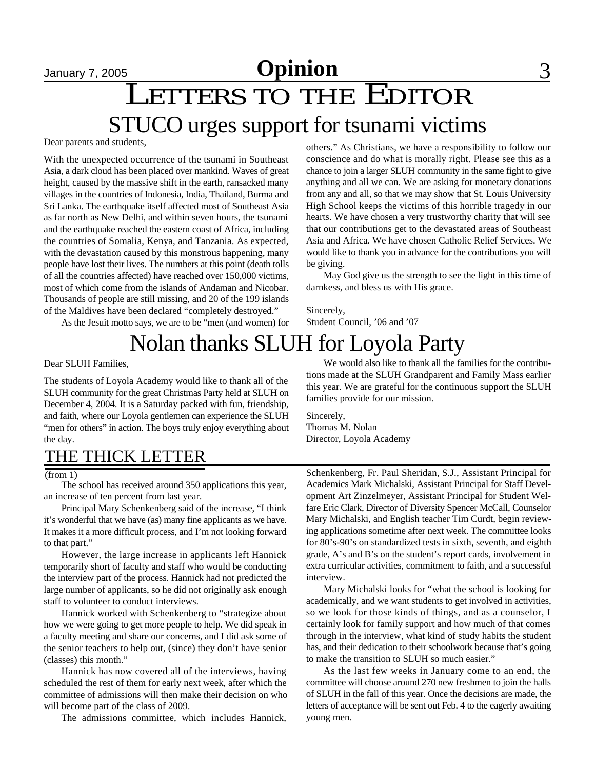## January 7, 2005 **Opinion** 3

# LETTERS TO THE EDITOR

## STUCO urges support for tsunami victims

Dear parents and students,

With the unexpected occurrence of the tsunami in Southeast Asia, a dark cloud has been placed over mankind. Waves of great height, caused by the massive shift in the earth, ransacked many villages in the countries of Indonesia, India, Thailand, Burma and Sri Lanka. The earthquake itself affected most of Southeast Asia as far north as New Delhi, and within seven hours, the tsunami and the earthquake reached the eastern coast of Africa, including the countries of Somalia, Kenya, and Tanzania. As expected, with the devastation caused by this monstrous happening, many people have lost their lives. The numbers at this point (death tolls of all the countries affected) have reached over 150,000 victims, most of which come from the islands of Andaman and Nicobar. Thousands of people are still missing, and 20 of the 199 islands of the Maldives have been declared "completely destroyed."

As the Jesuit motto says, we are to be "men (and women) for

others." As Christians, we have a responsibility to follow our conscience and do what is morally right. Please see this as a chance to join a larger SLUH community in the same fight to give anything and all we can. We are asking for monetary donations from any and all, so that we may show that St. Louis University High School keeps the victims of this horrible tragedy in our hearts. We have chosen a very trustworthy charity that will see that our contributions get to the devastated areas of Southeast Asia and Africa. We have chosen Catholic Relief Services. We would like to thank you in advance for the contributions you will be giving.

May God give us the strength to see the light in this time of darnkess, and bless us with His grace.

Sincerely, Student Council, '06 and '07

## Nolan thanks SLUH for Loyola Party

Dear SLUH Families,

The students of Loyola Academy would like to thank all of the SLUH community for the great Christmas Party held at SLUH on December 4, 2004. It is a Saturday packed with fun, friendship, and faith, where our Loyola gentlemen can experience the SLUH "men for others" in action. The boys truly enjoy everything about the day.

### THE THICK LETTER

The school has received around 350 applications this year, an increase of ten percent from last year.

Principal Mary Schenkenberg said of the increase, "I think it's wonderful that we have (as) many fine applicants as we have. It makes it a more difficult process, and I'm not looking forward to that part."

However, the large increase in applicants left Hannick temporarily short of faculty and staff who would be conducting the interview part of the process. Hannick had not predicted the large number of applicants, so he did not originally ask enough staff to volunteer to conduct interviews.

Hannick worked with Schenkenberg to "strategize about how we were going to get more people to help. We did speak in a faculty meeting and share our concerns, and I did ask some of the senior teachers to help out, (since) they don't have senior (classes) this month."

Hannick has now covered all of the interviews, having scheduled the rest of them for early next week, after which the committee of admissions will then make their decision on who will become part of the class of 2009.

The admissions committee, which includes Hannick,

We would also like to thank all the families for the contributions made at the SLUH Grandparent and Family Mass earlier this year. We are grateful for the continuous support the SLUH families provide for our mission.

Sincerely, Thomas M. Nolan Director, Loyola Academy

Schenkenberg, Fr. Paul Sheridan, S.J., Assistant Principal for Academics Mark Michalski, Assistant Principal for Staff Development Art Zinzelmeyer, Assistant Principal for Student Welfare Eric Clark, Director of Diversity Spencer McCall, Counselor Mary Michalski, and English teacher Tim Curdt, begin reviewing applications sometime after next week. The committee looks for 80's-90's on standardized tests in sixth, seventh, and eighth grade, A's and B's on the student's report cards, involvement in extra curricular activities, commitment to faith, and a successful interview.

Mary Michalski looks for "what the school is looking for academically, and we want students to get involved in activities, so we look for those kinds of things, and as a counselor, I certainly look for family support and how much of that comes through in the interview, what kind of study habits the student has, and their dedication to their schoolwork because that's going to make the transition to SLUH so much easier."

As the last few weeks in January come to an end, the committee will choose around 270 new freshmen to join the halls of SLUH in the fall of this year. Once the decisions are made, the letters of acceptance will be sent out Feb. 4 to the eagerly awaiting young men.

<sup>(</sup>from 1)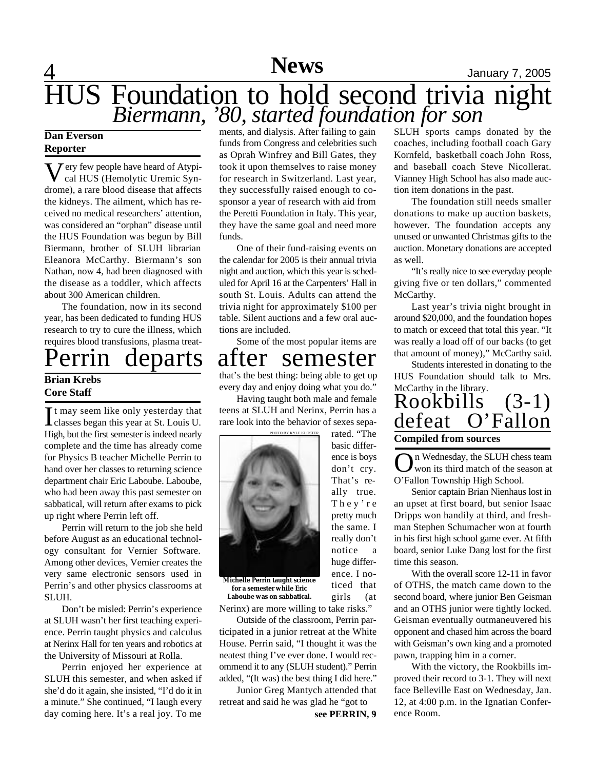### 4 **News** January 7, 2005 HUS Foundation to hold second trivia night *Biermann, '80, started foundation for son*

### **Dan Everson Reporter**

Very few people have heard of Atypi-<br>cal HUS (Hemolytic Uremic Syncal HUS (Hemolytic Uremic Syndrome), a rare blood disease that affects the kidneys. The ailment, which has received no medical researchers' attention, was considered an "orphan" disease until the HUS Foundation was begun by Bill Biermann, brother of SLUH librarian Eleanora McCarthy. Biermann's son Nathan, now 4, had been diagnosed with the disease as a toddler, which affects about 300 American children.

The foundation, now in its second year, has been dedicated to funding HUS research to try to cure the illness, which requires blood transfusions, plasma treat-

# **Brian Krebs**

### **Core Staff**

It may seem like only yesterday that<br>classes began this year at St. Louis U. It may seem like only yesterday that High, but the first semester is indeed nearly complete and the time has already come for Physics B teacher Michelle Perrin to hand over her classes to returning science department chair Eric Laboube. Laboube, who had been away this past semester on sabbatical, will return after exams to pick up right where Perrin left off.

Perrin will return to the job she held before August as an educational technology consultant for Vernier Software. Among other devices, Vernier creates the very same electronic sensors used in Perrin's and other physics classrooms at SLUH.

Don't be misled: Perrin's experience at SLUH wasn't her first teaching experience. Perrin taught physics and calculus at Nerinx Hall for ten years and robotics at the University of Missouri at Rolla.

Perrin enjoyed her experience at SLUH this semester, and when asked if she'd do it again, she insisted, "I'd do it in a minute." She continued, "I laugh every day coming here. It's a real joy. To me ments, and dialysis. After failing to gain funds from Congress and celebrities such as Oprah Winfrey and Bill Gates, they took it upon themselves to raise money for research in Switzerland. Last year, they successfully raised enough to cosponsor a year of research with aid from the Peretti Foundation in Italy. This year, they have the same goal and need more funds.

One of their fund-raising events on the calendar for 2005 is their annual trivia night and auction, which this year is scheduled for April 16 at the Carpenters' Hall in south St. Louis. Adults can attend the trivia night for approximately \$100 per table. Silent auctions and a few oral auctions are included.

Some of the most popular items are

### Perrin departs after semester

that's the best thing: being able to get up every day and enjoy doing what you do." Having taught both male and female

teens at SLUH and Nerinx, Perrin has a rare look into the behavior of sexes separated. "The



**Michelle Perrin taught science for a semester while Eric Laboube was on sabbatical.**

Nerinx) are more willing to take risks."

Outside of the classroom, Perrin participated in a junior retreat at the White House. Perrin said, "I thought it was the neatest thing I've ever done. I would recommend it to any (SLUH student)." Perrin added, "(It was) the best thing I did here."

Junior Greg Mantych attended that retreat and said he was glad he "got to

**see PERRIN, 9**

basic difference is boys don't cry. That's really true. T h e y ' r e pretty much the same. I really don't notice a huge difference. I noticed that girls (at

SLUH sports camps donated by the coaches, including football coach Gary Kornfeld, basketball coach John Ross, and baseball coach Steve Nicollerat. Vianney High School has also made auction item donations in the past.

The foundation still needs smaller donations to make up auction baskets, however. The foundation accepts any unused or unwanted Christmas gifts to the auction. Monetary donations are accepted as well.

"It's really nice to see everyday people giving five or ten dollars," commented McCarthy.

Last year's trivia night brought in around \$20,000, and the foundation hopes to match or exceed that total this year. "It was really a load off of our backs (to get that amount of money)," McCarthy said.

Students interested in donating to the HUS Foundation should talk to Mrs. McCarthy in the library.

### Rookbills (3-1) defeat O'Fallon **Compiled from sources**

**O**n Wednesday, the SLUH che<br>O'Fallon Township High School. n Wednesday, the SLUH chess team won its third match of the season at

Senior captain Brian Nienhaus lost in an upset at first board, but senior Isaac Dripps won handily at third, and freshman Stephen Schumacher won at fourth in his first high school game ever. At fifth board, senior Luke Dang lost for the first time this season.

With the overall score 12-11 in favor of OTHS, the match came down to the second board, where junior Ben Geisman and an OTHS junior were tightly locked. Geisman eventually outmaneuvered his opponent and chased him across the board with Geisman's own king and a promoted pawn, trapping him in a corner.

With the victory, the Rookbills improved their record to 3-1. They will next face Belleville East on Wednesday, Jan. 12, at 4:00 p.m. in the Ignatian Conference Room.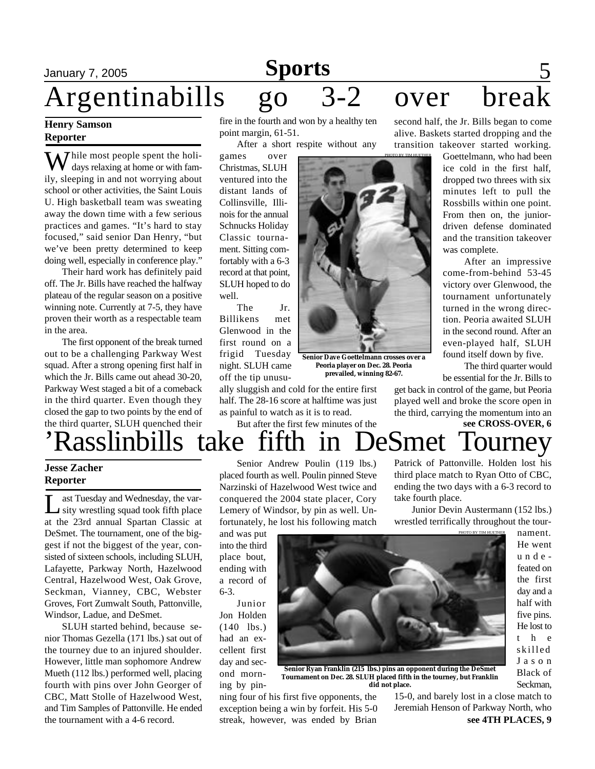### January 7, 2005 **Sports** 5 **Sports**

# Argentinabills go 3-2 over brea

PHOTO BY TIM HUETHER

## **Henry Samson**

**Reporter**

 $\overline{J}$  hile most people spent the holidays relaxing at home or with family, sleeping in and not worrying about school or other activities, the Saint Louis U. High basketball team was sweating away the down time with a few serious practices and games. "It's hard to stay focused," said senior Dan Henry, "but we've been pretty determined to keep doing well, especially in conference play."

Their hard work has definitely paid off. The Jr. Bills have reached the halfway plateau of the regular season on a positive winning note. Currently at 7-5, they have proven their worth as a respectable team in the area.

The first opponent of the break turned out to be a challenging Parkway West squad. After a strong opening first half in which the Jr. Bills came out ahead 30-20, Parkway West staged a bit of a comeback in the third quarter. Even though they closed the gap to two points by the end of fire in the fourth and won by a healthy ten point margin, 61-51.

After a short respite without any

games over Christmas, SLUH ventured into the distant lands of Collinsville, Illinois for the annual Schnucks Holiday Classic tournament. Sitting comfortably with a 6-3 record at that point, SLUH hoped to do well.

The Jr. Billikens met Glenwood in the first round on a frigid Tuesday night. SLUH came off the tip unusu-

ally sluggish and cold for the entire first half. The 28-16 score at halftime was just as painful to watch as it is to read.

second half, the Jr. Bills began to come alive. Baskets started dropping and the transition takeover started working.

Goettelmann, who had been ice cold in the first half, dropped two threes with six minutes left to pull the Rossbills within one point. From then on, the juniordriven defense dominated and the transition takeover was complete.

After an impressive come-from-behind 53-45 victory over Glenwood, the tournament unfortunately turned in the wrong direction. Peoria awaited SLUH in the second round. After an even-played half, SLUH found itself down by five.

The third quarter would be essential for the Jr. Bills to

get back in control of the game, but Peoria played well and broke the score open in the third, carrying the momentum into an

#### **see CROSS-OVER, 6** 'Rasslinbills take fifth in DeSmet Tourney the third quarter, SLUH quenched their But after the first few minutes of the Patrick of Pattonville. Holden lost his

### **Jesse Zacher Reporter**

Let Tuesday and Wednesday, the variative wrestling squad took fifth place ast Tuesday and Wednesday, the varat the 23rd annual Spartan Classic at DeSmet. The tournament, one of the biggest if not the biggest of the year, consisted of sixteen schools, including SLUH, Lafayette, Parkway North, Hazelwood Central, Hazelwood West, Oak Grove, Seckman, Vianney, CBC, Webster Groves, Fort Zumwalt South, Pattonville, Windsor, Ladue, and DeSmet.

SLUH started behind, because senior Thomas Gezella (171 lbs.) sat out of the tourney due to an injured shoulder. However, little man sophomore Andrew Mueth (112 lbs.) performed well, placing fourth with pins over John Georger of CBC, Matt Stolle of Hazelwood West, and Tim Samples of Pattonville. He ended the tournament with a 4-6 record.

Senior Andrew Poulin (119 lbs.) placed fourth as well. Poulin pinned Steve Narzinski of Hazelwood West twice and conquered the 2004 state placer, Cory Lemery of Windsor, by pin as well. Unfortunately, he lost his following match

and was put into the third place bout, ending with a record of 6-3.

Junior Jon Holden  $(140$  lbs.) had an excellent first day and second morning by pin-



**Senior Dave Goettelmann crosses over a Peoria player on Dec. 28. Peoria prevailed, winning 82-67.**

> He went u n d e feated on the first day and a half with five pins. He lost to t h e skilled J a s o n Black of Seckman,

nament.

**Senior Ryan Franklin (215 lbs.) pins an opponent during the DeSmet Tournament on Dec. 28. SLUH placed fifth in the tourney, but Franklin did not place.**

ning four of his first five opponents, the exception being a win by forfeit. His 5-0 streak, however, was ended by Brian

**see 4TH PLACES, 9** 15-0, and barely lost in a close match to Jeremiah Henson of Parkway North, who

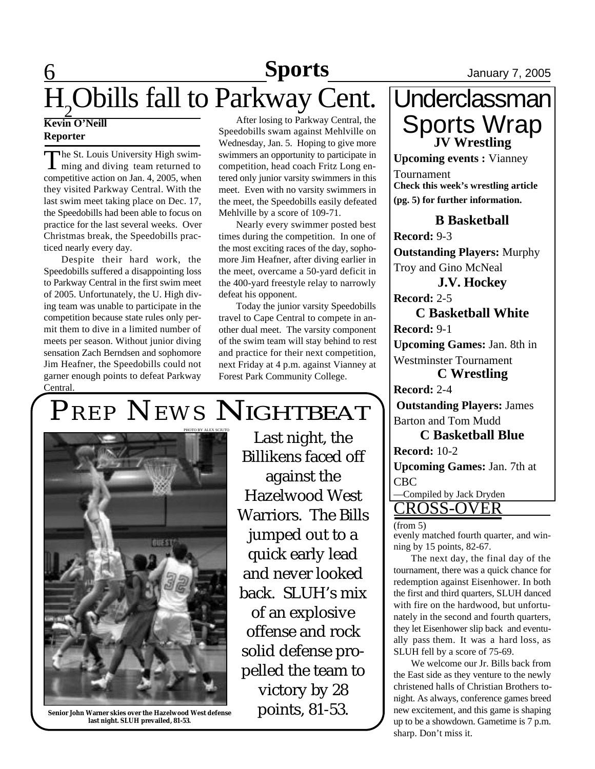### **6** 1anuary 7, 2005 H<sub>2</sub>Obills fall to Parkway Cent. **Sports**

### **Kevin O'Neill Reporter**

The St. Louis University High swim-<br>ming and diving team returned to The St. Louis University High swimcompetitive action on Jan. 4, 2005, when they visited Parkway Central. With the last swim meet taking place on Dec. 17, the Speedobills had been able to focus on practice for the last several weeks. Over Christmas break, the Speedobills practiced nearly every day.

Despite their hard work, the Speedobills suffered a disappointing loss to Parkway Central in the first swim meet of 2005. Unfortunately, the U. High diving team was unable to participate in the competition because state rules only permit them to dive in a limited number of meets per season. Without junior diving sensation Zach Berndsen and sophomore Jim Heafner, the Speedobills could not garner enough points to defeat Parkway Central.

After losing to Parkway Central, the Speedobills swam against Mehlville on Wednesday, Jan. 5. Hoping to give more swimmers an opportunity to participate in competition, head coach Fritz Long entered only junior varsity swimmers in this meet. Even with no varsity swimmers in the meet, the Speedobills easily defeated Mehlville by a score of 109-71.

Nearly every swimmer posted best times during the competition. In one of the most exciting races of the day, sophomore Jim Heafner, after diving earlier in the meet, overcame a 50-yard deficit in the 400-yard freestyle relay to narrowly defeat his opponent.

Today the junior varsity Speedobills travel to Cape Central to compete in another dual meet. The varsity component of the swim team will stay behind to rest and practice for their next competition, next Friday at 4 p.m. against Vianney at Forest Park Community College.

# *PREP NEWS* NIGHTBEAT



**Senior John Warner skies over the Hazelwood West defense last night. SLUH prevailed, 81-53.**

Last night, the Billikens faced off against the Hazelwood West Warriors. The Bills jumped out to a quick early lead and never looked back. SLUH's mix of an explosive offense and rock solid defense propelled the team to victory by 28 points, 81-53.

### **Underclassman** Sports Wrap **JV Wrestling**

**Upcoming events :** Vianney Tournament **Check this week's wrestling article (pg. 5) for further information.**

### **B Basketball**

**Record:** 9-3 **Outstanding Players:** Murphy Troy and Gino McNeal **J.V. Hockey**

**Record:** 2-5

**C Basketball White Record:** 9-1

**Upcoming Games:** Jan. 8th in Westminster Tournament

**C Wrestling**

**Record:** 2-4

**Outstanding Players:** James Barton and Tom Mudd

**C Basketball Blue Record:** 10-2

**Upcoming Games:** Jan. 7th at CBC

—Compiled by Jack Dryden

CROSS-OVER (from 5)

evenly matched fourth quarter, and winning by 15 points, 82-67.

The next day, the final day of the tournament, there was a quick chance for redemption against Eisenhower. In both the first and third quarters, SLUH danced with fire on the hardwood, but unfortunately in the second and fourth quarters, they let Eisenhower slip back and eventually pass them. It was a hard loss, as SLUH fell by a score of 75-69.

We welcome our Jr. Bills back from the East side as they venture to the newly christened halls of Christian Brothers tonight. As always, conference games breed new excitement, and this game is shaping up to be a showdown. Gametime is 7 p.m. sharp. Don't miss it.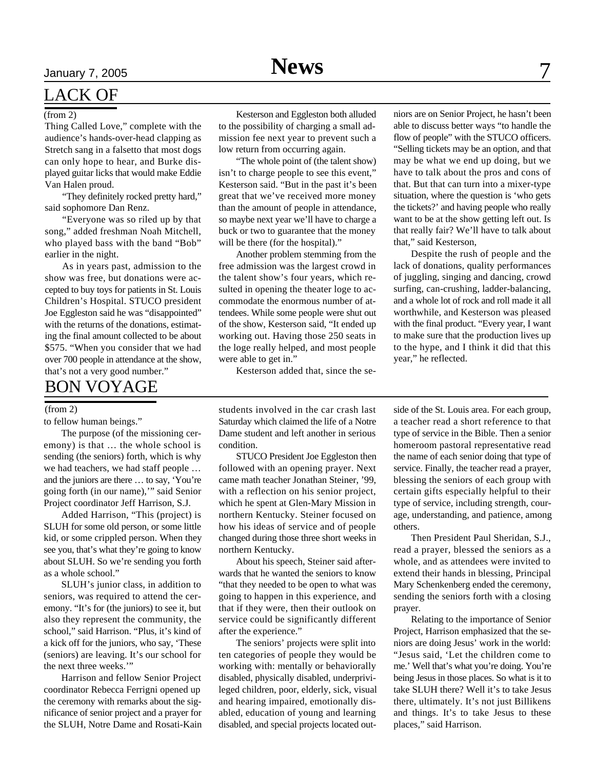### LACK OF

#### (from 2)

Thing Called Love," complete with the audience's hands-over-head clapping as Stretch sang in a falsetto that most dogs can only hope to hear, and Burke displayed guitar licks that would make Eddie Van Halen proud.

"They definitely rocked pretty hard," said sophomore Dan Renz.

"Everyone was so riled up by that song," added freshman Noah Mitchell, who played bass with the band "Bob" earlier in the night.

As in years past, admission to the show was free, but donations were accepted to buy toys for patients in St. Louis Children's Hospital. STUCO president Joe Eggleston said he was "disappointed" with the returns of the donations, estimating the final amount collected to be about \$575. "When you consider that we had over 700 people in attendance at the show, that's not a very good number."

### BON VOYAGE

#### (from 2)

to fellow human beings."

The purpose (of the missioning ceremony) is that … the whole school is sending (the seniors) forth, which is why we had teachers, we had staff people … and the juniors are there … to say, 'You're going forth (in our name),'" said Senior Project coordinator Jeff Harrison, S.J.

Added Harrison, "This (project) is SLUH for some old person, or some little kid, or some crippled person. When they see you, that's what they're going to know about SLUH. So we're sending you forth as a whole school."

SLUH's junior class, in addition to seniors, was required to attend the ceremony. "It's for (the juniors) to see it, but also they represent the community, the school," said Harrison. "Plus, it's kind of a kick off for the juniors, who say, 'These (seniors) are leaving. It's our school for the next three weeks."

Harrison and fellow Senior Project coordinator Rebecca Ferrigni opened up the ceremony with remarks about the significance of senior project and a prayer for the SLUH, Notre Dame and Rosati-Kain

Kesterson and Eggleston both alluded to the possibility of charging a small admission fee next year to prevent such a low return from occurring again.

"The whole point of (the talent show) isn't to charge people to see this event," Kesterson said. "But in the past it's been great that we've received more money than the amount of people in attendance, so maybe next year we'll have to charge a buck or two to guarantee that the money will be there (for the hospital)."

Another problem stemming from the free admission was the largest crowd in the talent show's four years, which resulted in opening the theater loge to accommodate the enormous number of attendees. While some people were shut out of the show, Kesterson said, "It ended up working out. Having those 250 seats in the loge really helped, and most people were able to get in."

Kesterson added that, since the se-

students involved in the car crash last Saturday which claimed the life of a Notre Dame student and left another in serious condition.

STUCO President Joe Eggleston then followed with an opening prayer. Next came math teacher Jonathan Steiner, '99, with a reflection on his senior project, which he spent at Glen-Mary Mission in northern Kentucky. Steiner focused on how his ideas of service and of people changed during those three short weeks in northern Kentucky.

About his speech, Steiner said afterwards that he wanted the seniors to know "that they needed to be open to what was going to happen in this experience, and that if they were, then their outlook on service could be significantly different after the experience."

The seniors' projects were split into ten categories of people they would be working with: mentally or behaviorally disabled, physically disabled, underprivileged children, poor, elderly, sick, visual and hearing impaired, emotionally disabled, education of young and learning disabled, and special projects located out-

niors are on Senior Project, he hasn't been able to discuss better ways "to handle the flow of people" with the STUCO officers. "Selling tickets may be an option, and that may be what we end up doing, but we have to talk about the pros and cons of that. But that can turn into a mixer-type situation, where the question is 'who gets the tickets?' and having people who really want to be at the show getting left out. Is that really fair? We'll have to talk about that," said Kesterson,

Despite the rush of people and the lack of donations, quality performances of juggling, singing and dancing, crowd surfing, can-crushing, ladder-balancing, and a whole lot of rock and roll made it all worthwhile, and Kesterson was pleased with the final product. "Every year, I want to make sure that the production lives up to the hype, and I think it did that this year," he reflected.

side of the St. Louis area. For each group, a teacher read a short reference to that type of service in the Bible. Then a senior homeroom pastoral representative read the name of each senior doing that type of service. Finally, the teacher read a prayer, blessing the seniors of each group with certain gifts especially helpful to their type of service, including strength, courage, understanding, and patience, among others.

Then President Paul Sheridan, S.J., read a prayer, blessed the seniors as a whole, and as attendees were invited to extend their hands in blessing, Principal Mary Schenkenberg ended the ceremony, sending the seniors forth with a closing prayer.

Relating to the importance of Senior Project, Harrison emphasized that the seniors are doing Jesus' work in the world: "Jesus said, 'Let the children come to me.' Well that's what you're doing. You're being Jesus in those places. So what is it to take SLUH there? Well it's to take Jesus there, ultimately. It's not just Billikens and things. It's to take Jesus to these places," said Harrison.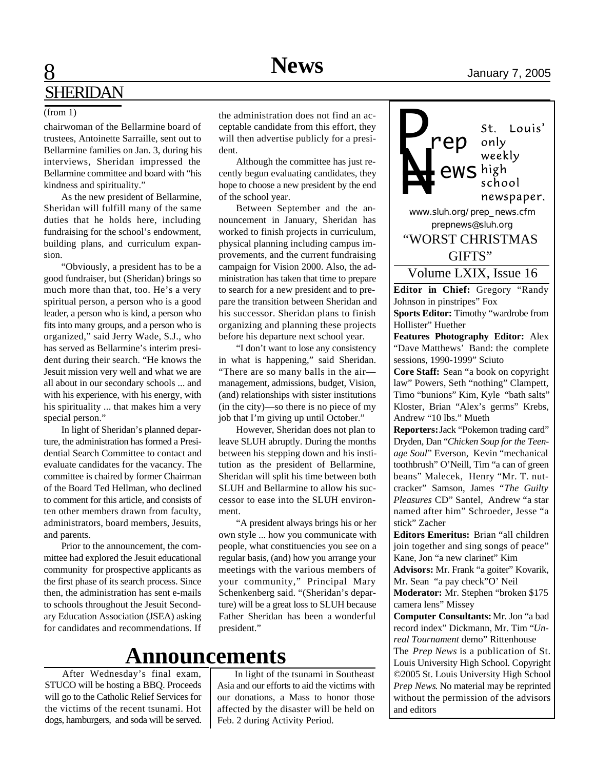chairwoman of the Bellarmine board of trustees, Antoinette Sarraille, sent out to Bellarmine families on Jan. 3, during his interviews, Sheridan impressed the Bellarmine committee and board with "his kindness and spirituality."

As the new president of Bellarmine, Sheridan will fulfill many of the same duties that he holds here, including fundraising for the school's endowment, building plans, and curriculum expansion.

"Obviously, a president has to be a good fundraiser, but (Sheridan) brings so much more than that, too. He's a very spiritual person, a person who is a good leader, a person who is kind, a person who fits into many groups, and a person who is organized," said Jerry Wade, S.J., who has served as Bellarmine's interim president during their search. "He knows the Jesuit mission very well and what we are all about in our secondary schools ... and with his experience, with his energy, with his spirituality ... that makes him a very special person."

In light of Sheridan's planned departure, the administration has formed a Presidential Search Committee to contact and evaluate candidates for the vacancy. The committee is chaired by former Chairman of the Board Ted Hellman, who declined to comment for this article, and consists of ten other members drawn from faculty, administrators, board members, Jesuits, and parents.

Prior to the announcement, the committee had explored the Jesuit educational community for prospective applicants as the first phase of its search process. Since then, the administration has sent e-mails to schools throughout the Jesuit Secondary Education Association (JSEA) asking for candidates and recommendations. If

(from 1) the administration does not find an acceptable candidate from this effort, they will then advertise publicly for a president.

> Although the committee has just recently begun evaluating candidates, they hope to choose a new president by the end of the school year.

> Between September and the announcement in January, Sheridan has worked to finish projects in curriculum, physical planning including campus improvements, and the current fundraising campaign for Vision 2000. Also, the administration has taken that time to prepare to search for a new president and to prepare the transition between Sheridan and his successor. Sheridan plans to finish organizing and planning these projects before his departure next school year.

> "I don't want to lose any consistency in what is happening," said Sheridan. "There are so many balls in the air management, admissions, budget, Vision, (and) relationships with sister institutions (in the city)—so there is no piece of my job that I'm giving up until October."

> However, Sheridan does not plan to leave SLUH abruptly. During the months between his stepping down and his institution as the president of Bellarmine, Sheridan will split his time between both SLUH and Bellarmine to allow his successor to ease into the SLUH environment.

> "A president always brings his or her own style ... how you communicate with people, what constituencies you see on a regular basis, (and) how you arrange your meetings with the various members of your community," Principal Mary Schenkenberg said. "(Sheridan's departure) will be a great loss to SLUH because Father Sheridan has been a wonderful president."

### **Announcements**

After Wednesday's final exam, STUCO will be hosting a BBQ. Proceeds will go to the Catholic Relief Services for the victims of the recent tsunami. Hot dogs, hamburgers, and soda will be served.

In light of the tsunami in Southeast Asia and our efforts to aid the victims with our donations, a Mass to honor those affected by the disaster will be held on Feb. 2 during Activity Period.

**N=**<br>*NWW.S* school newspaper. *www.sluh.org/prep\_news.cfm prepnews@sluh.org* "WORST CHRISTMAS GIFTS"Volume LXIX, Issue 16 **Editor in Chief:** Gregory "Randy Johnson in pinstripes" Fox **Sports Editor:** Timothy "wardrobe from Hollister" Huether **Features Photography Editor:** Alex "Dave Matthews' Band: the complete sessions, 1990-1999" Sciuto **Core Staff:** Sean "a book on copyright law" Powers, Seth "nothing" Clampett, Timo "bunions" Kim, Kyle "bath salts" Kloster, Brian "Alex's germs" Krebs, Andrew "10 lbs." Mueth **Reporters:** Jack "Pokemon trading card" Dryden, Dan "*Chicken Soup for the Teen-*

*P*

*rep*

*ews*

St.

only weekly

*age Soul*" Everson, Kevin "mechanical toothbrush" O'Neill, Tim "a can of green beans" Malecek, Henry "Mr. T. nutcracker" Samson, James "*The Guilty Pleasures* CD" Santel, Andrew "a star named after him" Schroeder, Jesse "a stick" Zacher

**Editors Emeritus:** Brian "all children join together and sing songs of peace" Kane, Jon "a new clarinet" Kim

**Advisors:** Mr. Frank "a goiter" Kovarik, Mr. Sean "a pay check"O' Neil

**Moderator:** Mr. Stephen "broken \$175 camera lens" Missey

**Computer Consultants:** Mr. Jon "a bad record index" Dickmann, Mr. Tim "*Unreal Tournament* demo" Rittenhouse

The *Prep News* is a publication of St. Louis University High School. Copyright ©2005 St. Louis University High School *Prep News*. No material may be reprinted without the permission of the advisors and editors

Louis'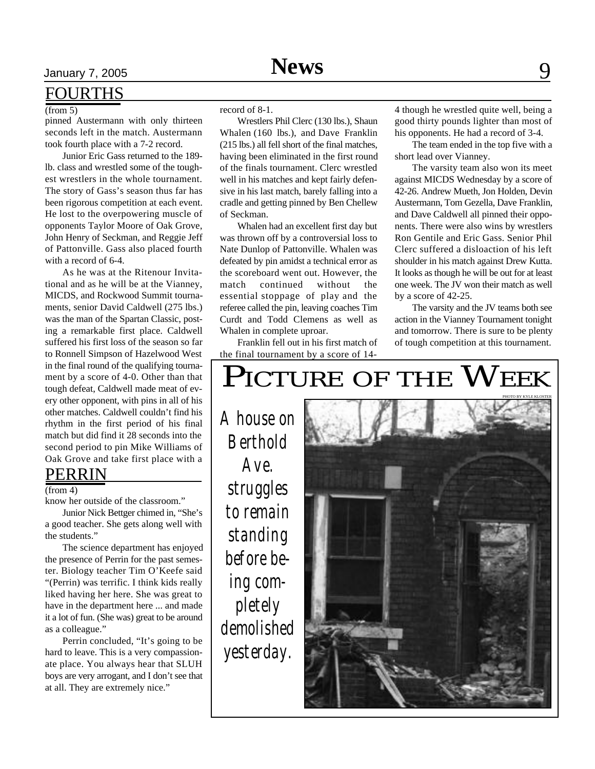### FOURTHS

(from 5)

pinned Austermann with only thirteen seconds left in the match. Austermann took fourth place with a 7-2 record.

Junior Eric Gass returned to the 189 lb. class and wrestled some of the toughest wrestlers in the whole tournament. The story of Gass's season thus far has been rigorous competition at each event. He lost to the overpowering muscle of opponents Taylor Moore of Oak Grove, John Henry of Seckman, and Reggie Jeff of Pattonville. Gass also placed fourth with a record of 6-4.

As he was at the Ritenour Invitational and as he will be at the Vianney, MICDS, and Rockwood Summit tournaments, senior David Caldwell (275 lbs.) was the man of the Spartan Classic, posting a remarkable first place. Caldwell suffered his first loss of the season so far to Ronnell Simpson of Hazelwood West in the final round of the qualifying tournament by a score of 4-0. Other than that tough defeat, Caldwell made meat of every other opponent, with pins in all of his other matches. Caldwell couldn't find his rhythm in the first period of his final match but did find it 28 seconds into the second period to pin Mike Williams of Oak Grove and take first place with a

### PERRIN

#### (from 4)

know her outside of the classroom."

Junior Nick Bettger chimed in, "She's a good teacher. She gets along well with the students."

The science department has enjoyed the presence of Perrin for the past semester. Biology teacher Tim O'Keefe said "(Perrin) was terrific. I think kids really liked having her here. She was great to have in the department here ... and made it a lot of fun. (She was) great to be around as a colleague."

Perrin concluded, "It's going to be hard to leave. This is a very compassionate place. You always hear that SLUH boys are very arrogant, and I don't see that at all. They are extremely nice."

record of 8-1.

Wrestlers Phil Clerc (130 lbs.), Shaun Whalen (160 lbs.), and Dave Franklin (215 lbs.) all fell short of the final matches, having been eliminated in the first round of the finals tournament. Clerc wrestled well in his matches and kept fairly defensive in his last match, barely falling into a cradle and getting pinned by Ben Chellew of Seckman.

Whalen had an excellent first day but was thrown off by a controversial loss to Nate Dunlop of Pattonville. Whalen was defeated by pin amidst a technical error as the scoreboard went out. However, the match continued without the essential stoppage of play and the referee called the pin, leaving coaches Tim Curdt and Todd Clemens as well as Whalen in complete uproar.

Franklin fell out in his first match of the final tournament by a score of 144 though he wrestled quite well, being a good thirty pounds lighter than most of his opponents. He had a record of 3-4.

The team ended in the top five with a short lead over Vianney.

The varsity team also won its meet against MICDS Wednesday by a score of 42-26. Andrew Mueth, Jon Holden, Devin Austermann, Tom Gezella, Dave Franklin, and Dave Caldwell all pinned their opponents. There were also wins by wrestlers Ron Gentile and Eric Gass. Senior Phil Clerc suffered a disloaction of his left shoulder in his match against Drew Kutta. It looks as though he will be out for at least one week. The JV won their match as well by a score of 42-25.

The varsity and the JV teams both see action in the Vianney Tournament tonight and tomorrow. There is sure to be plenty of tough competition at this tournament.

## PICTURE OF THE PHOTO BY KYLE KLOSTER *A house on Berthold Ave. struggles to remain standing before being completely demolished yesterday.*